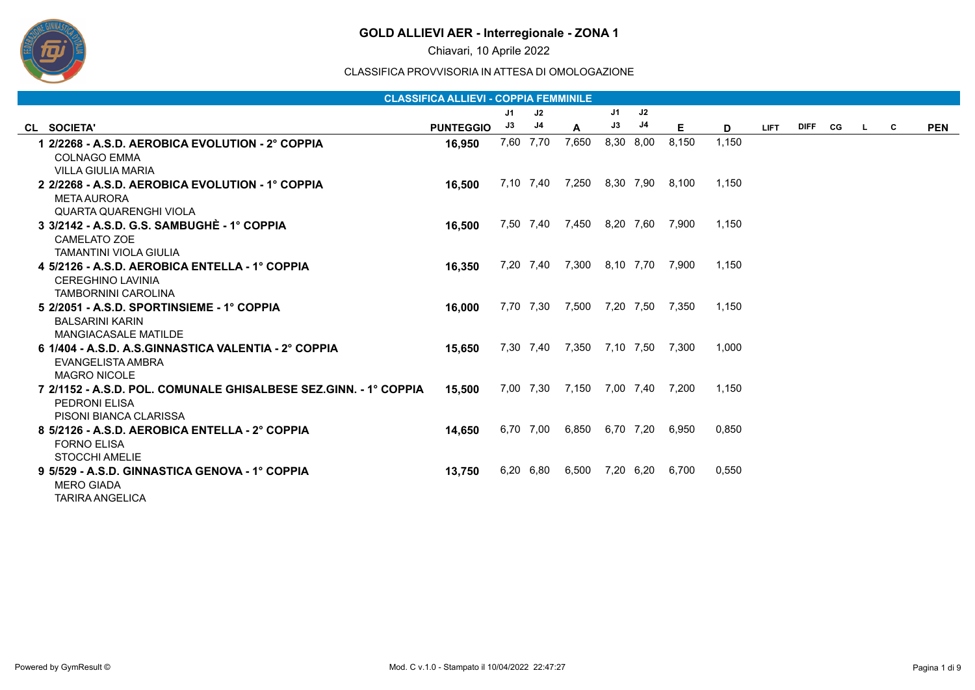

Chiavari, 10 Aprile 2022

|                                                                                                                    | <b>CLASSIFICA ALLIEVI - COPPIA FEMMINILE</b> |    |           |                           |    |           |       |       |             |         |    |          |            |
|--------------------------------------------------------------------------------------------------------------------|----------------------------------------------|----|-----------|---------------------------|----|-----------|-------|-------|-------------|---------|----|----------|------------|
|                                                                                                                    |                                              | J1 | J2        |                           | J1 | J2        |       |       |             |         |    |          |            |
| CL SOCIETA'                                                                                                        | <b>PUNTEGGIO</b>                             | J3 | J4        | A                         | J3 | J4        | Е.    | D     | <b>LIFT</b> | DIFF CG | L. | <b>C</b> | <b>PEN</b> |
| 1 2/2268 - A.S.D. AEROBICA EVOLUTION - 2° COPPIA<br><b>COLNAGO EMMA</b>                                            | 16,950                                       |    | 7,60 7,70 | 7,650                     |    | 8,30 8,00 | 8,150 | 1.150 |             |         |    |          |            |
| VILLA GIULIA MARIA                                                                                                 |                                              |    |           |                           |    |           |       |       |             |         |    |          |            |
| 2 2/2268 - A.S.D. AEROBICA EVOLUTION - 1° COPPIA<br><b>META AURORA</b><br><b>QUARTA QUARENGHI VIOLA</b>            | 16.500                                       |    | 7,10 7,40 | 7,250                     |    | 8,30 7,90 | 8,100 | 1.150 |             |         |    |          |            |
| 3 3/2142 - A.S.D. G.S. SAMBUGHÈ - 1° COPPIA<br><b>CAMELATO ZOE</b><br><b>TAMANTINI VIOLA GIULIA</b>                | 16.500                                       |    |           | 7,50 7,40 7,450 8,20 7,60 |    |           | 7,900 | 1.150 |             |         |    |          |            |
| 4 5/2126 - A.S.D. AEROBICA ENTELLA - 1° COPPIA<br><b>CEREGHINO LAVINIA</b><br><b>TAMBORNINI CAROLINA</b>           | 16,350                                       |    | 7,20 7,40 | 7,300 8,10 7,70           |    |           | 7,900 | 1.150 |             |         |    |          |            |
| 5 2/2051 - A.S.D. SPORTINSIEME - 1° COPPIA<br><b>BALSARINI KARIN</b><br><b>MANGIACASALE MATILDE</b>                | 16.000                                       |    | 7,70 7,30 | 7,500 7,20 7,50           |    |           | 7,350 | 1.150 |             |         |    |          |            |
| 6 1/404 - A.S.D. A.S.GINNASTICA VALENTIA - 2° COPPIA<br>EVANGELISTA AMBRA<br><b>MAGRO NICOLE</b>                   | 15.650                                       |    | 7,30 7,40 | 7,350 7,10 7,50           |    |           | 7,300 | 1.000 |             |         |    |          |            |
| 7 2/1152 - A.S.D. POL. COMUNALE GHISALBESE SEZ.GINN. - 1° COPPIA<br><b>PEDRONI ELISA</b><br>PISONI BIANCA CLARISSA | 15,500                                       |    |           | 7,00 7,30 7,150 7,00 7,40 |    |           | 7,200 | 1.150 |             |         |    |          |            |
| 8 5/2126 - A.S.D. AEROBICA ENTELLA - 2° COPPIA<br>FORNO FLISA<br><b>STOCCHI AMELIE</b>                             | 14,650                                       |    | 6,70 7,00 | 6,850                     |    | 6,70 7,20 | 6.950 | 0.850 |             |         |    |          |            |
| 9 5/529 - A.S.D. GINNASTICA GENOVA - 1° COPPIA<br><b>MERO GIADA</b><br><b>TARIRA ANGELICA</b>                      | 13.750                                       |    | 6,20 6,80 | 6,500 7,20 6,20           |    |           | 6,700 | 0.550 |             |         |    |          |            |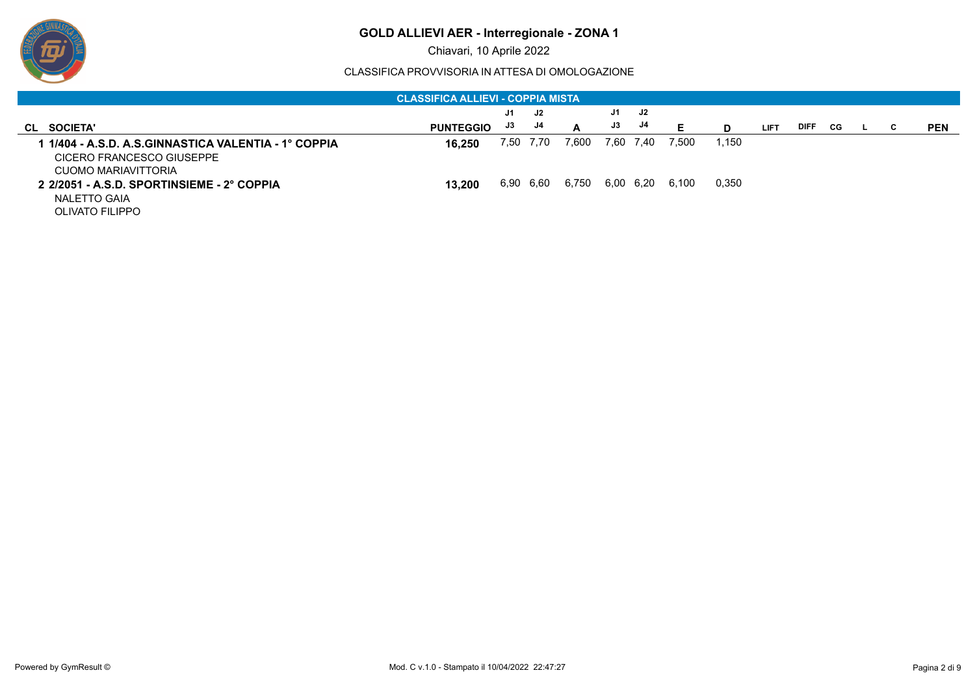

Chiavari, 10 Aprile 2022

| <b>CLASSIFICA ALLIEVI - COPPIA MISTA</b>                                                                 |                  |      |           |       |    |           |       |       |             |             |     |  |   |            |
|----------------------------------------------------------------------------------------------------------|------------------|------|-----------|-------|----|-----------|-------|-------|-------------|-------------|-----|--|---|------------|
|                                                                                                          |                  | J1   | J2.       |       | J1 | J2        |       |       |             |             |     |  |   |            |
| CL SOCIETA'                                                                                              | <b>PUNTEGGIO</b> | J3   | J4        | A     | J3 | J4        | Е     | D     | <b>LIFT</b> | <b>DIFF</b> | CG. |  | C | <b>PEN</b> |
| l 1/404 - A.S.D. A.S.GINNASTICA VALENTIA - 1° COPPIA<br>CICERO FRANCESCO GIUSEPPE<br>CUOMO MARIAVITTORIA | 16.250           | 7,50 | 7.70      | 7.600 |    | 7,60 7,40 | 7.500 | 1.150 |             |             |     |  |   |            |
| 2 2/2051 - A.S.D. SPORTINSIEME - 2° COPPIA<br>NALETTO GAIA<br><b>OLIVATO FILIPPO</b>                     | 13.200           |      | 6,90 6,60 | 6,750 |    | 6,00 6,20 | 6,100 | 0.350 |             |             |     |  |   |            |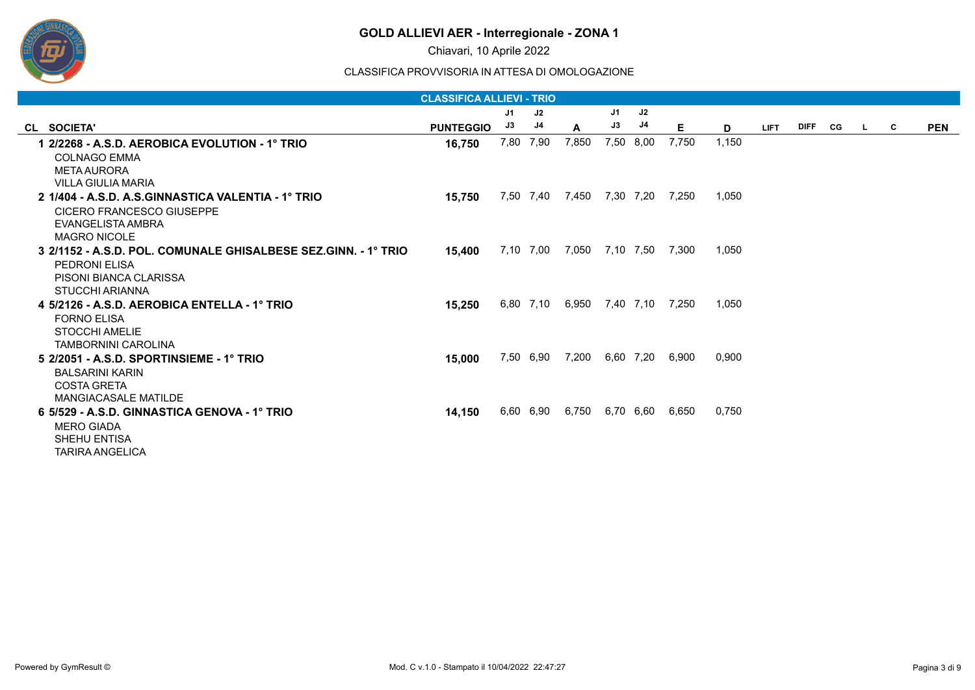

Chiavari, 10 Aprile 2022

|                                                                | <b>CLASSIFICA ALLIEVI - TRIO</b> |      |           |              |           |           |                 |       |             |         |    |   |            |
|----------------------------------------------------------------|----------------------------------|------|-----------|--------------|-----------|-----------|-----------------|-------|-------------|---------|----|---|------------|
|                                                                |                                  | J1   | J2        |              | J1        | J2        |                 |       |             |         |    |   |            |
| CL SOCIETA'                                                    | <b>PUNTEGGIO</b>                 | J3   | J4        | $\mathbf{A}$ | J3        | J4        | Е.              | D     | <b>LIFT</b> | DIFF CG | L. | C | <b>PEN</b> |
| 1   2/2268 - A.S.D. AEROBICA EVOLUTION - 1° TRIO               | 16,750                           | 7,80 | 7,90      | 7,850        |           | 7,50 8,00 | 7,750           | 1,150 |             |         |    |   |            |
| <b>COLNAGO EMMA</b>                                            |                                  |      |           |              |           |           |                 |       |             |         |    |   |            |
| META AURORA                                                    |                                  |      |           |              |           |           |                 |       |             |         |    |   |            |
| <b>VILLA GIULIA MARIA</b>                                      |                                  |      |           |              |           |           |                 |       |             |         |    |   |            |
| 2 1/404 - A.S.D. A.S.GINNASTICA VALENTIA - 1º TRIO             | 15,750                           |      | 7,50 7,40 | 7,450        | 7,30 7,20 |           | 7,250           | 1,050 |             |         |    |   |            |
| CICERO FRANCESCO GIUSEPPE                                      |                                  |      |           |              |           |           |                 |       |             |         |    |   |            |
| EVANGELISTA AMBRA                                              |                                  |      |           |              |           |           |                 |       |             |         |    |   |            |
| <b>MAGRO NICOLE</b>                                            |                                  |      |           |              |           |           |                 |       |             |         |    |   |            |
| 3 2/1152 - A.S.D. POL. COMUNALE GHISALBESE SEZ.GINN. - 1° TRIO | 15.400                           |      | 7,10 7,00 | 7.050        | 7,10 7,50 |           | 7,300           | 1.050 |             |         |    |   |            |
| <b>PEDRONI ELISA</b>                                           |                                  |      |           |              |           |           |                 |       |             |         |    |   |            |
| <b>PISONI BIANCA CLARISSA</b>                                  |                                  |      |           |              |           |           |                 |       |             |         |    |   |            |
| <b>STUCCHI ARIANNA</b>                                         |                                  |      |           |              |           |           |                 |       |             |         |    |   |            |
| 4 5/2126 - A.S.D. AEROBICA ENTELLA - 1° TRIO                   | 15,250                           |      | 6,80 7,10 | 6,950        |           |           | 7,40 7,10 7,250 | 1,050 |             |         |    |   |            |
| <b>FORNO ELISA</b>                                             |                                  |      |           |              |           |           |                 |       |             |         |    |   |            |
| STOCCHI AMELIE                                                 |                                  |      |           |              |           |           |                 |       |             |         |    |   |            |
| <b>TAMBORNINI CAROLINA</b>                                     |                                  |      |           |              |           |           |                 |       |             |         |    |   |            |
| 5 2/2051 - A.S.D. SPORTINSIEME - 1° TRIO                       | 15,000                           |      | 7,50 6,90 | 7,200        |           | 6,60 7,20 | 6,900           | 0.900 |             |         |    |   |            |
| <b>BALSARINI KARIN</b>                                         |                                  |      |           |              |           |           |                 |       |             |         |    |   |            |
| <b>COSTA GRETA</b>                                             |                                  |      |           |              |           |           |                 |       |             |         |    |   |            |
| <b>MANGIACASALE MATILDE</b>                                    |                                  |      |           |              |           |           |                 |       |             |         |    |   |            |
| 6 5/529 - A.S.D. GINNASTICA GENOVA - 1° TRIO                   | 14,150                           |      | 6,60 6,90 | 6,750        |           | 6,70 6,60 | 6.650           | 0,750 |             |         |    |   |            |
| <b>MERO GIADA</b>                                              |                                  |      |           |              |           |           |                 |       |             |         |    |   |            |
| <b>SHEHU ENTISA</b>                                            |                                  |      |           |              |           |           |                 |       |             |         |    |   |            |
| <b>TARIRA ANGELICA</b>                                         |                                  |      |           |              |           |           |                 |       |             |         |    |   |            |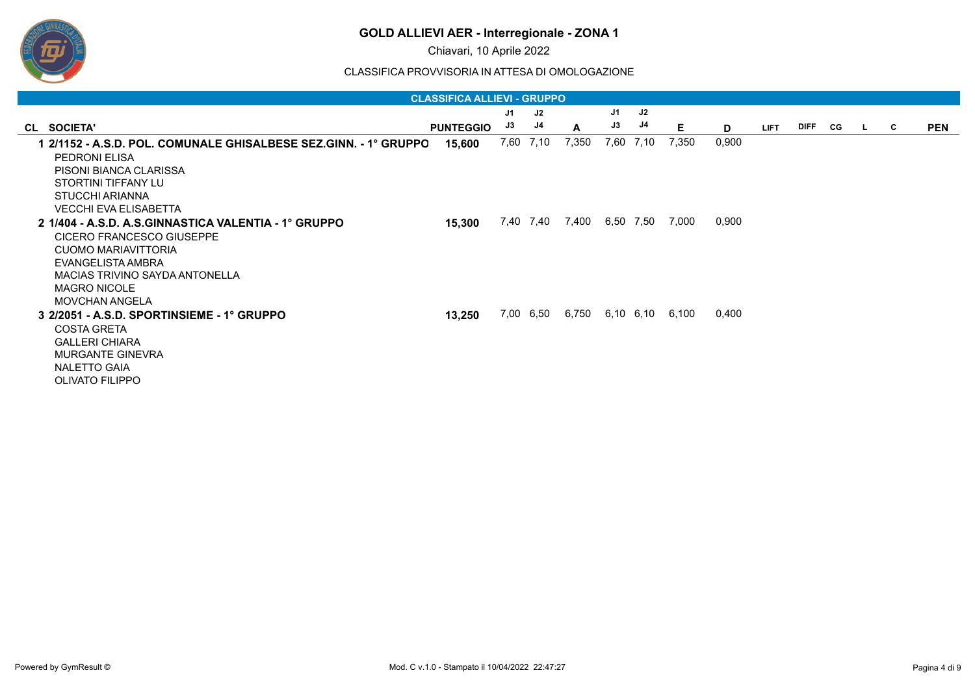

Chiavari, 10 Aprile 2022

|                                                                                                                                                                                                                                                                 | <b>CLASSIFICA ALLIEVI - GRUPPO</b> |      |               |       |      |           |       |                |             |           |   |            |
|-----------------------------------------------------------------------------------------------------------------------------------------------------------------------------------------------------------------------------------------------------------------|------------------------------------|------|---------------|-------|------|-----------|-------|----------------|-------------|-----------|---|------------|
|                                                                                                                                                                                                                                                                 |                                    | J1   | $\mathsf{J}2$ |       | J1   | J2        |       |                |             |           |   |            |
| CL SOCIETA'                                                                                                                                                                                                                                                     | <b>PUNTEGGIO</b>                   | J3   | J4            | A     | J3   | J4        | Е     | D              | <b>LIFT</b> | DIFF CG L | C | <b>PEN</b> |
|                                                                                                                                                                                                                                                                 | 15,600                             | 7,60 | 7,10          | 7,350 | 7,60 | 7,10      | 7,350 | 0,900          |             |           |   |            |
| <b>PEDRONI ELISA</b>                                                                                                                                                                                                                                            |                                    |      |               |       |      |           |       |                |             |           |   |            |
| PISONI BIANCA CLARISSA                                                                                                                                                                                                                                          |                                    |      |               |       |      |           |       |                |             |           |   |            |
| STORTINI TIFFANY LU                                                                                                                                                                                                                                             |                                    |      |               |       |      |           |       |                |             |           |   |            |
| STUCCHI ARIANNA                                                                                                                                                                                                                                                 |                                    |      |               |       |      |           |       |                |             |           |   |            |
| <b>VECCHI EVA ELISABETTA</b>                                                                                                                                                                                                                                    |                                    |      |               |       |      |           |       |                |             |           |   |            |
|                                                                                                                                                                                                                                                                 | 15,300                             |      | 7,40 7,40     | 7,400 |      | 6,50 7,50 | 7,000 |                |             |           |   |            |
| <b>CICERO FRANCESCO GIUSEPPE</b>                                                                                                                                                                                                                                |                                    |      |               |       |      |           |       |                |             |           |   |            |
| CUOMO MARIAVITTORIA                                                                                                                                                                                                                                             |                                    |      |               |       |      |           |       |                |             |           |   |            |
| EVANGELISTA AMBRA                                                                                                                                                                                                                                               |                                    |      |               |       |      |           |       |                |             |           |   |            |
| MACIAS TRIVINO SAYDA ANTONELLA                                                                                                                                                                                                                                  |                                    |      |               |       |      |           |       |                |             |           |   |            |
|                                                                                                                                                                                                                                                                 |                                    |      |               |       |      |           |       |                |             |           |   |            |
|                                                                                                                                                                                                                                                                 |                                    |      |               |       |      |           |       |                |             |           |   |            |
|                                                                                                                                                                                                                                                                 |                                    |      |               |       |      |           |       |                |             |           |   |            |
|                                                                                                                                                                                                                                                                 |                                    |      |               |       |      |           |       |                |             |           |   |            |
|                                                                                                                                                                                                                                                                 |                                    |      |               |       |      |           |       |                |             |           |   |            |
|                                                                                                                                                                                                                                                                 |                                    |      |               |       |      |           |       |                |             |           |   |            |
|                                                                                                                                                                                                                                                                 |                                    |      |               |       |      |           |       |                |             |           |   |            |
|                                                                                                                                                                                                                                                                 |                                    |      |               |       |      |           |       |                |             |           |   |            |
| 2 1/404 - A.S.D. A.S.GINNASTICA VALENTIA - 1° GRUPPO<br><b>MAGRO NICOLE</b><br><b>MOVCHAN ANGELA</b><br>3 2/2051 - A.S.D. SPORTINSIEME - 1° GRUPPO<br><b>COSTA GRETA</b><br><b>GALLERI CHIARA</b><br>MURGANTE GINEVRA<br>NALETTO GAIA<br><b>OLIVATO FILIPPO</b> | 13,250                             |      | 7,00 6,50     | 6,750 |      | 6,10 6,10 | 6,100 | 0,900<br>0,400 |             |           |   |            |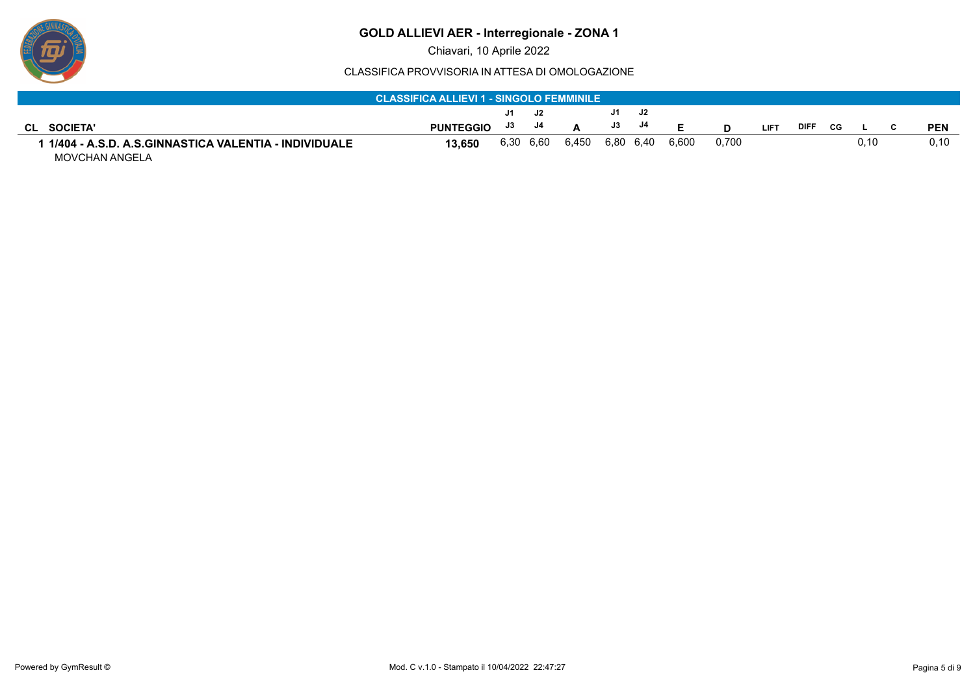

#### CLASSIFICA PROVVISORIA IN ATTESA DI OMOLOGAZIONE

|                                                      | <b>CLASSIFICA ALLIEVI 1 - SINGOLO FEMMINILE</b> |      |      |       |     |           |       |       |             |             |    |      |  |            |
|------------------------------------------------------|-------------------------------------------------|------|------|-------|-----|-----------|-------|-------|-------------|-------------|----|------|--|------------|
|                                                      |                                                 |      |      |       |     |           |       |       |             |             |    |      |  |            |
|                                                      |                                                 | J1   | J2.  |       | J1. | J2        |       |       |             |             |    |      |  |            |
| <b>SOCIETA'</b><br>CLI                               | <b>PUNTEGGIO</b>                                | J3   | J4   |       | J3  | J4        | E     |       | <b>LIFT</b> | <b>DIFF</b> | CG |      |  | <b>PEN</b> |
| 1/404 - A.S.D. A.S.GINNASTICA VALENTIA - INDIVIDUALE | 13.650                                          | 6,30 | 6,60 | 6,450 |     | 6,80 6,40 | 6.600 | 0.700 |             |             |    | 0.10 |  | 0,10       |
| MOVCHAN ANGELA                                       |                                                 |      |      |       |     |           |       |       |             |             |    |      |  |            |

ש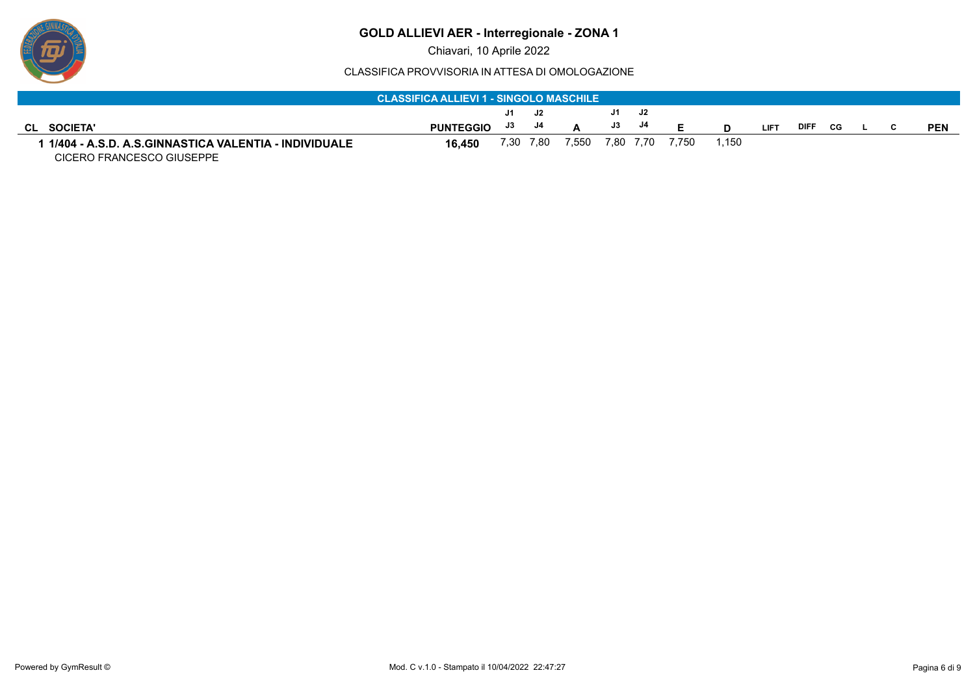

Chiavari, 10 Aprile 2022

|                                                      | <b>CLASSIFICA ALLIEVI 1 - SINGOLO MASCHILE</b> |      |      |       |    |           |       |       |             |             |    |  |            |
|------------------------------------------------------|------------------------------------------------|------|------|-------|----|-----------|-------|-------|-------------|-------------|----|--|------------|
|                                                      |                                                | J1.  | J2.  |       |    | J1 J2     |       |       |             |             |    |  |            |
| <b>SOCIETA'</b><br>CL                                | <b>PUNTEGGIO</b>                               | J3   | J4   |       | J3 | J4        |       |       | <b>LIFT</b> | <b>DIFF</b> | CG |  | <b>PEN</b> |
| 1/404 - A.S.D. A.S.GINNASTICA VALENTIA - INDIVIDUALE | 16.450                                         | 7,30 | 7.80 | 7,550 |    | 7,80 7,70 | 7.750 | 1.150 |             |             |    |  |            |
| CICERO FRANCESCO GIUSEPPE                            |                                                |      |      |       |    |           |       |       |             |             |    |  |            |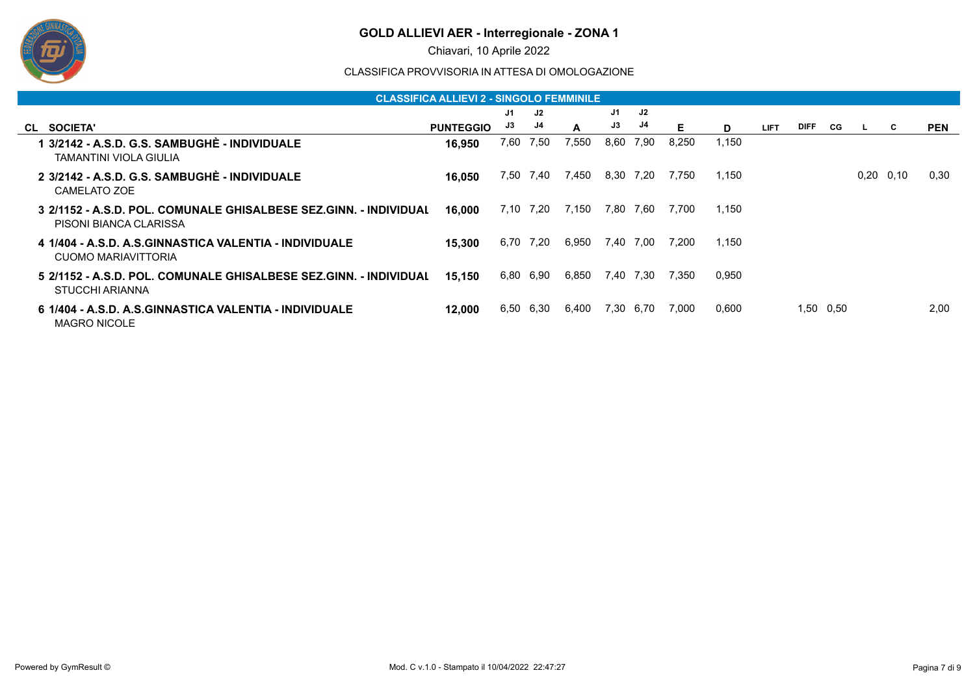

Chiavari, 10 Aprile 2022

|                                                                                      | <b>CLASSIFICA ALLIEVI 2 - SINGOLO FEMMINILE</b> |      |      |       |      |      |       |       |             |      |      |             |            |
|--------------------------------------------------------------------------------------|-------------------------------------------------|------|------|-------|------|------|-------|-------|-------------|------|------|-------------|------------|
|                                                                                      |                                                 | J1   | J2   |       | J1   | J2   |       |       |             |      |      |             |            |
| CL SOCIETA'                                                                          | <b>PUNTEGGIO</b>                                | J3   | J4   | A     | J3   | J4   | Е     | D     | <b>LIFT</b> | DIFF | CG.  | C.          | <b>PEN</b> |
| 1 3/2142 - A.S.D. G.S. SAMBUGHÉ - INDIVIDUALE<br>TAMANTINI VIOLA GIULIA              | 16,950                                          | 7,60 | 7,50 | 7,550 | 8,60 | 7.90 | 8,250 | 1,150 |             |      |      |             |            |
| 2 3/2142 - A.S.D. G.S. SAMBUGHÈ - INDIVIDUALE<br>CAMELATO ZOE                        | 16.050                                          | 7.50 | 7,40 | 7,450 | 8,30 | 7,20 | 7.750 | 1,150 |             |      |      | $0,20$ 0.10 | 0,30       |
| PISONI BIANCA CLARISSA                                                               | 16,000                                          | 7.10 | 7,20 | 7,150 | 7,80 | 7.60 | 7.700 | 1,150 |             |      |      |             |            |
| CUOMO MARIAVITTORIA                                                                  | 15.300                                          | 6,70 | 7,20 | 6,950 | 7,40 | 7.00 | 7,200 | 1,150 |             |      |      |             |            |
| 5 2/1152 - A.S.D. POL. COMUNALE GHISALBESE SEZ.GINN. - INDIVIDUAL<br>STUCCHI ARIANNA | 15,150                                          | 6,80 | 6,90 | 6,850 | 7,40 | 7,30 | 7,350 | 0,950 |             |      |      |             |            |
| <b>MAGRO NICOLE</b>                                                                  | 12.000                                          | 6,50 | 6,30 | 6,400 | 7,30 | 6,70 | 7,000 | 0,600 |             | 1,50 | 0,50 |             | 2.00       |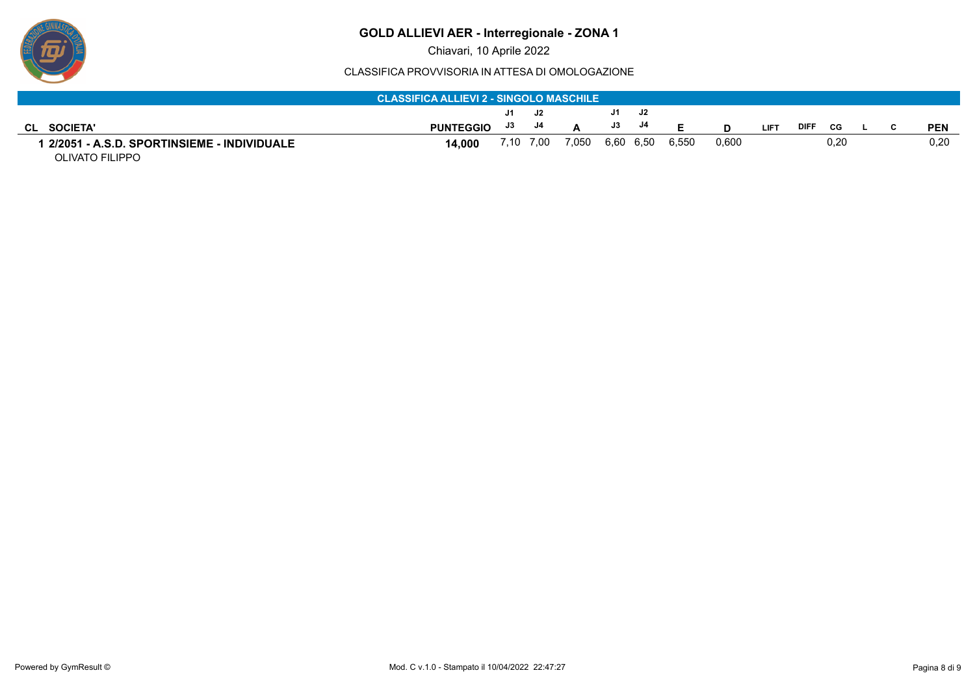Chiavari, 10 Aprile 2022

#### CLASSIFICA PROVVISORIA IN ATTESA DI OMOLOGAZIONE

|                                                                 | <b>CLASSIFICA ALLIEVI 2 - SINGOLO MASCHILE</b> |    |           |                 |               |    |       |       |             |      |      |  |            |
|-----------------------------------------------------------------|------------------------------------------------|----|-----------|-----------------|---------------|----|-------|-------|-------------|------|------|--|------------|
|                                                                 |                                                | J1 | J2        |                 | J1.           | J2 |       |       |             |      |      |  |            |
| <b>SOCIETA'</b><br>CL                                           | <b>PUNTEGGIO</b>                               | J3 | J4        |                 | $\mathsf{J3}$ | J4 | E.    |       | <b>LIFT</b> | DIFF | CG.  |  | <b>PEN</b> |
| ∣ 2/2051 - A.S.D. SPORTINSIEME - INDIVIDUALE<br>OLIVATO FILIPPO | 14.000                                         |    | 7,10 7,00 | 7,050 6,60 6,50 |               |    | 6.550 | 0.600 |             |      | 0.20 |  | 0,20       |

ש